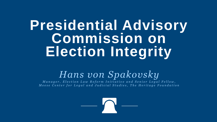## **Presidential Advisory Commission on Election Integrity**

## *Hans von Spakovsky*

*Manager, Election Law Reform Initiative and Senior Legal Fellow, Meese Center for Legal and Judicial Studies, The Heritage Foundation* 



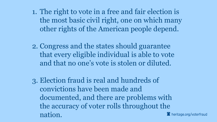1. The right to vote in a free and fair election is the most basic civil right, one on which many other rights of the American people depend.

2. Congress and the states should guarantee that every eligible individual is able to vote and that no one's vote is stolen or diluted.

3. Election fraud is real and hundreds of convictions have been made and documented, and there are problems with the accuracy of voter rolls throughout the nation.

- 
- 
- 
- $\Omega$  heritage.org/voterfraud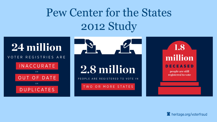## Pew Center for the States 2012 Study

## 24 million

VOTER REGISTRIES ARE

**INACCURATE** 

 $O R$ 

OUT OF DATE

DUPLICATES

OR





## 1.8 million

## **DECEASED**

people are still registered to vote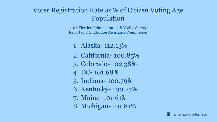## Voter Registration Rate as % of Citizen Voting Age Population

2016 Election Administration & Voting Survey Report of U.S. Election Assistance Commission

- 1. Alaska- 112.13%
- 2. California- 100.85%
- 3. Colorado- 102.38%
- 4. DC- 101.68%
- 5. Indiana- 100.79%
- 6. Kentucky- 100.27%
- 7. Maine- 101.61%
- 8. Michigan- 101.81%

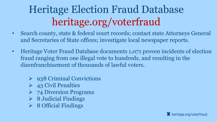## Heritage Election Fraud Database heritage.org/voterfraud

- Search county, state & federal court records; contact state Attorneys General and Secretaries of State offices; investigate local newspaper reports.
- Heritage Voter Fraud Database documents 1,071 proven incidents of election fraud ranging from one illegal vote to hundreds, and resulting in the disenfranchisement of thousands of lawful voters.
	- $\triangleright$  938 Criminal Convictions
	- $\triangleright$  43 Civil Penalties
	- **► 74 Diversion Programs**
	- $\triangleright$  8 Judicial Findings
	- $\triangleright$  8 Official Findings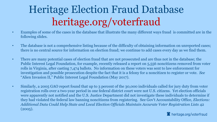- Examples of some of the cases in the database that illustrate the many different ways fraud is committed are in the following slides.
- The database is not a comprehensive listing because of the difficulty of obtaining information on unreported cases; there is no central source for information on election fraud; we continue to add cases every day as we find them.
- There are many potential cases of election fraud that are not prosecuted and are thus not in the database; the Public Interest Legal Foundation, for example, recently released a report on 5,556 noncitizens removed from voter rolls in Virginia, after casting 7,474 ballots. No information on these voters was sent to law enforcement for investigation and possible prosecution despite the fact that it is a felony for a noncitizen to register or vote. *See* "Alien Invasion II," Public Interest Legal Foundation (May 2017).
- Similarly, a 2005 GAO report found that up to 3 percent of the 30,000 individuals called for jury duty from voter registration rolls over a two-year period in one federal district court were not U.S. citizens. Yet election officials were apparently not notified and the U.S. Justice Department did not investigate these individuals to determine if they had violated the federal law banning noncitizens from registering. See Gov't Accountability Office, *Elections: Additional Data Could Help State and Local Election Officials Maintain Accurate Voter Registration Lists* 42 (2005).



 $\Omega$  heritage.org/voterfraud

## Heritage Election Fraud Database heritage.org/voterfraud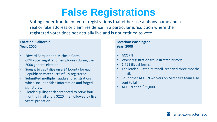## **False Registrations**

Voting under fraudulent voter registrations that either use a phony name and a real or fake address or claim residence in a particular jurisdiction where the registered voter does not actually live and is not entitled to vote.

### **Location: California Year: 2000**

- Edward Barquet and Michelle Corrall
- GOP voter registration employees during the 2000 general election
- Sought to capitalize on a \$4 bounty for each Republican voter successfully registered.
- Submitted multiple fraudulent registrations, which included false information and forged signatures.
- Pleaded guilty; each sentenced to serve four months in jail and a \$220 fine, followed by five years' probation.

## **Location: Washington Year: 2008**

- ACORN
- Worst registration fraud in state history
- 1,762 illegal forms.
- The leader, Clifton Mitchell, received three months in jail.
- Four other ACORN workers on Mitchell's team also sent to jail.
- ACORN fined \$25,000.

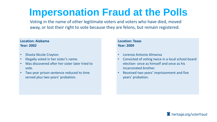## **Impersonation Fraud at the Polls**

Voting in the name of other legitimate voters and voters who have died, moved away, or lost their right to vote because they are felons, but remain registered.

### **Location: Alabama Year: 2002**

- Shasta Nicole Crayton
- Illegally voted in her sister's name.
- Was discovered after her sister later tried to vote.
- Two year prison sentence reduced to time served plus two years' probation.

**Location: Texas Year: 2009**

- Lorenzo Antonio Almanza
- Convicted of voting twice in a local school board election- once as himself and once as his incarcerated brother.
- Received two years' imprisonment and five years' probation.



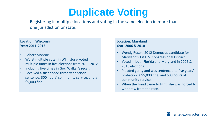## **Duplicate Voting**

Registering in multiple locations and voting in the same election in more than one jurisdiction or state.

### **Location: Wisconsin Year: 2011-2012**

- Wendy Rosen, 2012 Democrat candidate for Maryland's 1st U.S. Congressional District
- Voted in both Florida and Maryland in 2006 & 2010 elections
- Pleaded guilty and was sentenced to five years' probation, a \$5,000 fine, and 500 hours of community service.
- When the fraud came to light, she was forced to withdraw from the race.

## $\Omega$  heritage.org/voterfraud

- Robert Monroe
- Worst multiple voter in WI history- voted multiple times in five elections from 2011-2012.
- Including five times in Gov. Walker's recall.
- Received a suspended three year prison sentence, 300 hours' community service, and a \$5,000 fine.

### **Location: Maryland Year: 2006 & 2010**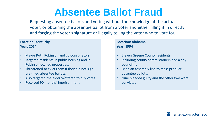## **Absentee Ballot Fraud**

Requesting absentee ballots and voting without the knowledge of the actual voter; or obtaining the absentee ballot from a voter and either filling it in directly and forging the voter's signature or illegally telling the voter who to vote for.

- Mayor Ruth Robinson and co-conspirators
- Targeted residents in public housing and in Robinson-owned properties.
- Threatened to evict them if they did not sign pre-filled absentee ballots.
- Also targeted the elderly/offered to buy votes.
- Received 90 months' imprisonment.

### **Location: Kentucky Year: 2014**

- **Eleven Greene County residents**
- Including county commissioners and a city councilman.
- Used an assembly line to mass produce absentee ballots.
- Nine pleaded guilty and the other two were convicted.



## $\Omega$  heritage.org/voterfraud

### **Location: Alabama Year: 1994**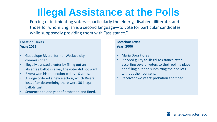## **Illegal Assistance at the Polls**

Forcing or intimidating voters—particularly the elderly, disabled, illiterate, and those for whom English is a second language—to vote for particular candidates while supposedly providing them with "assistance."

- Guadalupe Rivera, former Weslaco city commissioner
- Illegally assisted a voter by filling out an absentee ballot in a way the voter did not want.
- Rivera won his re-election bid by 16 votes.
- A judge ordered a new election, which Rivera lost, after determining there were 30 illegal ballots cast.
- Sentenced to one year of probation and fined.

### **Location: Texas Year: 2016**

### **Location: Texas Year: 2006**

- Maria Dora Flores
- Pleaded guilty to illegal assistance after escorting several voters to their polling place and filling out and submitting their ballots without their consent.
- Received two years' probation and fined.

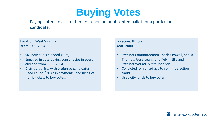## **Buying Votes**

Paying voters to cast either an in-person or absentee ballot for a particular candidate.

### **Location: West Virginia Year: 1990-2004**

- Six individuals pleaded guilty
- Engaged in vote buying conspiracies in every election from 1990-2004.
- Distributed lists with preferred candidates.
- Used liquor, \$20 cash payments, and fixing of traffic tickets to buy votes.

### **Location: Illinois Year: 2004**

- Precinct Committeemen Charles Powell, Sheila Thomas, Jesse Lewis, and Kelvin Ellis and Precinct Worker Yvette Johnson
- Convicted for conspiracy to commit election fraud
- Used city funds to buy votes.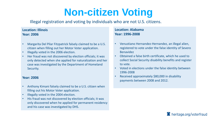## **Non-citizen Voting**

## Illegal registration and voting by individuals who are not U.S. citizens.

### **Location: Illinois Year: 2006**

- Margarita Del Pilar Fitzpatrick falsely claimed to be a U.S. citizen when filling out her Motor Voter application.
- Illegally voted in the 2006 election.
- Her fraud was not discovered by election officials; it was only detected when she applied for naturalization and her case was investigated by the Department of Homeland Security.

### **Year: 2006**

- Anthony Kimani falsely claimed to be a U.S. citizen when filling out his Motor Voter application.
- Illegally voted in the 2004 election.
- His fraud was not discovered by election officials; it was only discovered when he applied for permanent residency and his case was investigated by DHS.

### **Location: Alabama Year: 1996-2008**

- Venustiano Hernandez-Hernandez, an illegal alien, registered to vote under the false identity of Severo Benavidez
- Obtained a false birth certificate, which he used to collect Social Security disability benefits and register to vote.
- Voted in elections under the false identity between 1996-2008
- Received approximately \$80,000 in disability payments between 2008 and 2012.

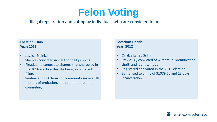## **Felon Voting**

## Illegal registration and voting by individuals who are convicted felons.

### **Location: Ohio Year: 2016**

- Jessica Steinke
- She was convicted in 2014 for bail jumping.
- Pleaded no contest to charges that she voted in the 2016 election despite being a convicted felon.
- Sentenced to 80 hours of community service, 18 months of probation, and ordered to attend counseling.

### **Location: Florida Year: 2012**

- Onakia Lanet Griffin
- Previously convicted of wire fraud, identification theft, and identity fraud.
- Registered and voted in the 2012 election.
- Sentenced to a fine of \$1079.50 and 23 days' incarceration.

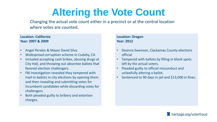## **Altering the Vote Count**

Changing the actual vote count either in a precinct or at the central location where votes are counted.

### **Location: California Year: 2007 & 2009**

- Angel Perales & Mayor David Silva
- Widespread corruption scheme in Cudahy, CA
- Included accepting cash bribes, abusing drugs at City Hall, and throwing out absentee ballots that favored election challengers.
- FBI Investigation revealed they tampered with mail-in ballots in city elections by opening them and then resealing and submitting votes for incumbent candidates while discarding votes for challengers.
- Both pleaded guilty to bribery and extortion charges.

### **Location: Oregon Year: 2012**

- Deanna Swenson, Clackamas County elections official
- Tampered with ballots by filling in blank spots left by the actual voters.
- Pleaded guilty to official misconduct and unlawfully altering a ballot.
- Sentenced to 90 days in jail and \$13,000 in fines.

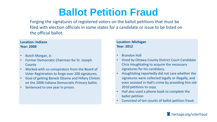## **Ballot Petition Fraud**

Forging the signatures of registered voters on the ballot petitions that must be filed with election officials in some states for a candidate or issue to be listed on the official ballot.

### **Location: Indiana Year: 2008**

- Butch Morgan, Jr.
- Former Democratic Chairman for St. Joseph **County**
- Worked with co-conspirators from the Board of Voter Registration to forge over 200 signatures.
- Goal of getting Barack Obama and Hillary Clinton on the 2008 Indiana Democratic Primary ballot.
- Sentenced to one year in prison.

### **Location: Michigan Year: 2012**

- Brandon Hall
- Hired by Ottawa County District Court Candidate Chris Houghtaling to acquire the necessary signatures for his candidacy.
- Houghtaling reportedly did not care whether the signatures were collected legally or illegally, and even assisted in Hall's crime by providing him old 2010 petitions to copy.
- Hall also used a phone book to complete the ballot petition
- Convicted of ten counts of ballot petition fraud.

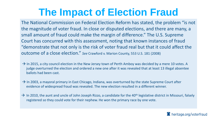## **The Impact of Election Fraud**

The National Commission on Federal Election Reform has stated, the problem "is not the magnitude of voter fraud. In close or disputed elections, and there are many, a small amount of fraud could make the margin of difference." The U.S. Supreme Court has concurred with this assessment, noting that known instances of fraud "demonstrate that not only is the risk of voter fraud real but that it could affect the outcome of a close election." *See* Crawford v. Marion County, 553 U.S. 181 (2008)

- $\rightarrow$  In 2015, a city council election in the New Jersey town of Perth Amboy was decided by a mere 10 votes. A judge overturned the election and ordered a new one after it was revealed that at least 13 illegal absentee ballots had been cast.
- $\rightarrow$  In 2003, a mayoral primary in East Chicago, Indiana, was overturned by the state Supreme Court after evidence of widespread fraud was revealed. The new election resulted in a different winner.
- $\rightarrow$  In 2010, the aunt and uncle of John Joseph Rizzo, a candidate for the 40<sup>th</sup> legislative district in Missouri, falsely registered so they could vote for their nephew. He won the primary race by one vote.



A heritage.org/voterfraud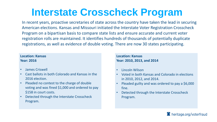## **Interstate Crosscheck Program**

In recent years, proactive secretaries of state across the country have taken the lead in securing American elections. Kansas and Missouri initiated the Interstate Voter Registration Crosscheck Program on a bipartisan basis to compare state lists and ensure accurate and current voter registration rolls are maintained. It identifies hundreds of thousands of potentially duplicate registrations, as well as evidence of double voting. There are now 30 states participating.

### **Location: Kansas Year: 2016**

- James Criswell
- Cast ballots in both Colorado and Kansas in the 2016 election.
- Pleaded no contest to the charge of double voting and was fined \$1,000 and ordered to pay \$158 in court costs.
- Detected through the Interstate Crosscheck Program.

**Location: Kansas Year: 2010, 2013, and 2014**

- Lincoln Wilson
- Voted in both Kansas and Colorado in elections in 2010, 2012, and 2014.
- Pleaded guilty and was ordered to pay a \$6,000 fine.
- Detected through the Interstate Crosscheck Program.



A heritage.org/voterfraud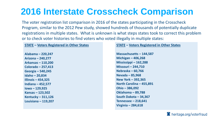## **2016 Interstate Crosscheck Comparison**

The voter registration list comparison in 2016 of the states participating in the Crosscheck Program, similar to the 2012 Pew study, showed hundreds of thousands of potentially duplicate registrations in multiple states. What is unknown is what steps states took to correct this problem or to check voter histories to find voters who voted illegally in multiple states:

### **STATE – Voters Registered in Other States**

**Alabama – 220,247 Arizona – 240,277 Arkansas – 110,200 Colorado – 257,413 Georgia – 540,245 Idaho – 20,834 Illinois – 454,325 Indiana – 452,577 Iowa – 129,925 Kansas – 123,502 Kentucky – 311,126 Louisiana – 119,207**

### **STATE – Voters Registered in Other States**

**Massachusetts – 144,587 Michigan – 406,268 Mississippi – 162,288 Missouri – 244,710 Nebraska – 60,766 Nevada – 85,968 New York – 392,365 North Carolina – 455,891 Ohio – 386,092 Oklahoma – 89,788 South Dakota – 34,367 Tennessee – 218,641 Virginia – 284,618**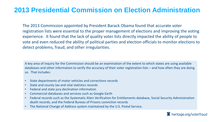## **2013 Presidential Commission on Election Administration**

The 2013 Commission appointed by President Barack Obama found that accurate voter registration lists were essential to the proper management of elections and improving the voting experience. It found that the lack of quality voter lists directly impacted the ability of people to vote and even reduced the ability of political parties and election officials to monitor elections to detect problems, fraud, and other irregularities.

A key area of inquiry for the Commission should be an examination of the extent to which states are using available databases and other information to verify the accuracy of their voter registration lists – and how often they are doing so. That includes:

- State departments of motor vehicles and corrections records
- State and county tax and vital statistics records
- Federal and state jury declination information
- Commercial databases and services such as Google Earth
- Federal records such as the Systematic Alien Verification for Entitlements database, Social Security Administration death records, and the Federal Bureau of Prisons conviction records
- The National Change of Address system maintained by the U.S. Postal Service.

A heritage.org/voterfraud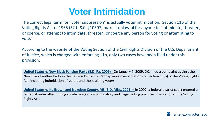## **Voter Intimidation**

The correct legal term for "voter suppression" is actually voter intimidation. Section 11b of the Voting Rights Act of 1965 (52 U.S.C. §10307) make it unlawful for anyone to "intimidate, threaten, or coerce, or attempt to intimidate, threaten, or coerce any person for voting or attempting to vote."

According to the website of the Voting Section of the Civil Rights Division of the U.S. Department of Justice, which is charged with enforcing 11b, only two cases have been filed under this provision:

**United States v. Ike Brown and Noxubee County, MS (S.D. Miss. 2005) – In 2007, a federal district court entered a** remedial order after finding a wide range of discriminatory and illegal voting practices in violation of the Voting Rights Act.

**United States v. New Black Panther Party (E.D. Pa. 2009) -** On January 7, 2009, DOJ filed a complaint against the New Black Panther Party in the Eastern District of Pennsylvania over violations of Section 11(b) of the Voting Rights Act, including intimidation of voters and those aiding voters.

U

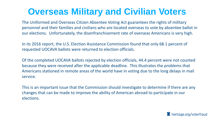## **Overseas Military and Civilian Voters**

The Uniformed and Overseas Citizen Absentee Voting Act guarantees the rights of military personnel and their families and civilians who are located overseas to vote by absentee ballot in our elections. Unfortunately, the disenfranchisement rate of overseas Americans is very high.

In its 2016 report, the U.S. Election Assistance Commission found that only 68.1 percent of requested UOCAVA ballots were returned to election officials.

Of the completed UOCAVA ballots rejected by election officials, 44.4 percent were not counted because they were received after the applicable deadline. This illustrates the problems that Americans stationed in remote areas of the world have in voting due to the long delays in mail service.

This is an important issue that the Commission should investigate to determine if there are any changes that can be made to improve the ability of American abroad to participate in our elections.



A heritage.org/voterfraud